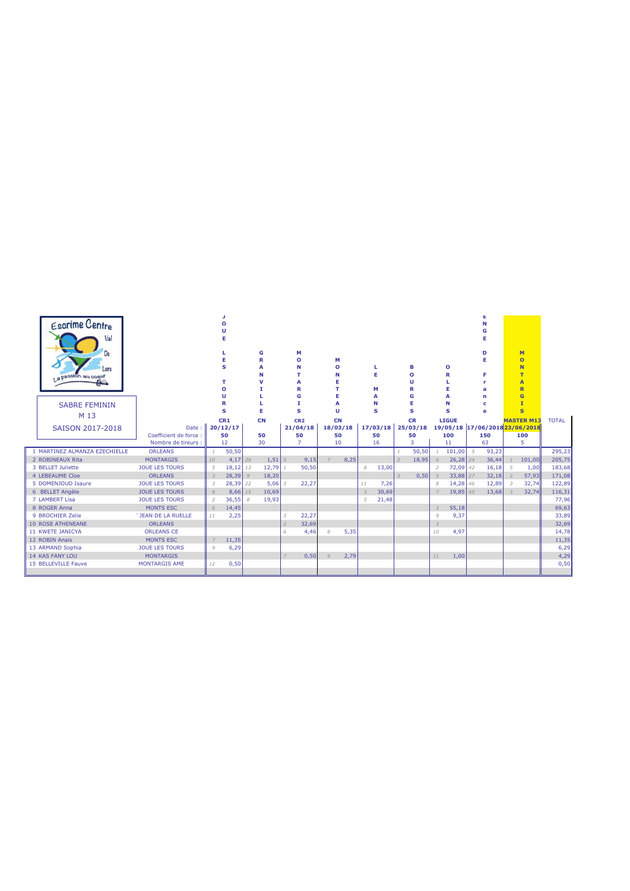| La passion au cogur           | <b>Escrime Centre</b><br>Val<br>De<br>Loire<br><b>SABRE FEMININ</b> |                                |                | O<br>s<br>O<br>u<br>R<br>s | G<br>R<br>Α<br>N<br>ν |          | м<br>$\mathbf{o}$<br>N<br>т<br>A<br>R<br>G<br>т<br>s | М<br>$\circ$<br>N<br>F<br>Е<br>п |      |                | Е<br>М<br>N<br>s | в<br>$\mathbf{o}$<br>п<br>R<br>G<br>Е<br>s |                 | o<br>R<br>s  |    | D<br>F<br>r<br>a<br>n<br>c<br>e       |                | M<br>$\overline{O}$<br>N<br>T<br>A<br>$\overline{\mathbf{R}}$<br>$\overline{G}$<br>$\mathbf{I}$<br>$\mathbf{s}$ |              |
|-------------------------------|---------------------------------------------------------------------|--------------------------------|----------------|----------------------------|-----------------------|----------|------------------------------------------------------|----------------------------------|------|----------------|------------------|--------------------------------------------|-----------------|--------------|----|---------------------------------------|----------------|-----------------------------------------------------------------------------------------------------------------|--------------|
|                               | M 13                                                                |                                |                | CR1                        | <b>CN</b>             |          | CR <sub>2</sub>                                      | <b>CN</b>                        |      |                |                  | <b>CR</b>                                  |                 | <b>LIGUE</b> |    |                                       |                | <b>MASTER M13</b>                                                                                               | <b>TOTAL</b> |
|                               | SAISON 2017-2018                                                    | Date:<br>Coefficient de force: |                | 20/12/17<br>50             | 50                    |          | 21/04/18<br>50                                       | 18/03/18<br>50                   |      |                | 17/03/18<br>50   | 25/03/18<br>50                             |                 | 100          |    | 19/05/18 17/06/2018 23/06/2018<br>150 |                | 100                                                                                                             |              |
|                               |                                                                     | Nombre de tireurs :            |                | 12                         | 30                    |          | 7                                                    | 10                               |      |                | 16               | 3                                          |                 | 11           |    | 63                                    |                | 5                                                                                                               |              |
| 1 MARTINEZ ALMANZA EZECHIELLE |                                                                     | <b>ORLEANS</b>                 |                | 50,50                      |                       |          |                                                      |                                  |      |                |                  | 50,50                                      |                 | 101,00       | 5  | 93,23                                 |                |                                                                                                                 | 295,23       |
| 2 ROBINEAUX Rita              |                                                                     | <b>MONTARGIS</b>               | 10             | $4,17$ 28                  |                       | $1,51$ 5 | 9,15                                                 | $\overline{7}$                   | 8,25 |                |                  | 18,95                                      | 6               | $26,28$ 24   |    | 36,44                                 | $\mathcal{I}$  | 101,00                                                                                                          | 205,75       |
| 3 BELLET Juliette             |                                                                     | <b>JOUF LES TOURS</b>          | 5              | 18,12 13                   |                       | 12,79    | 50,50                                                |                                  |      | 8              | 13,00            |                                            | $\mathcal{P}$   | 72,09        | 42 | 16,18                                 | 5              | 1,00                                                                                                            | 183,68       |
| 4 LEBEAUME Cloe               |                                                                     | <b>ORLEANS</b>                 | $\overline{3}$ | $28,39$ $9$                |                       | 18,20    |                                                      |                                  |      |                |                  | 0,50                                       | $5\overline{2}$ | 33,88        | 27 | 32,18                                 | $\overline{z}$ | 57,93                                                                                                           | 171,08       |
| 5 DOMENJOUD Isaure            |                                                                     | <b>JOUE LES TOURS</b>          | 3              | $28,39$ 22                 |                       | $5.06$ 3 | 22,27                                                |                                  |      | 11             | 7,26             |                                            | 8               | 14,28        | 46 | 12,89                                 | $\overline{3}$ | 32,74                                                                                                           | 122,89       |
| 6 BELLET Angèle               |                                                                     | <b>JOUE LES TOURS</b>          | 8              | $8,66$ 15                  |                       | 10,69    |                                                      |                                  |      | $\overline{3}$ | 30,69            |                                            | $\overline{7}$  | 19.85        | 45 | 13,68                                 | $\overline{3}$ | 32,74                                                                                                           | 116,31       |
| 7 LAMBERT Lisa                |                                                                     | <b>JOUE LES TOURS</b>          | $\overline{2}$ | 36,55                      | 8                     | 19,93    |                                                      |                                  |      | 5              | 21,48            |                                            |                 |              |    |                                       |                |                                                                                                                 | 77,96        |
| 8 ROGER Anna                  |                                                                     | MONTS ESC                      | 6              | 14,45                      |                       |          |                                                      |                                  |      |                |                  |                                            | $\mathcal{Z}$   | 55,18        |    |                                       |                |                                                                                                                 | 69,63        |
| 9 BROCHIER Zelie              |                                                                     | <b>T JEAN DE LA RUELLE</b>     | 11             | 2,25                       |                       |          | 22,27<br>3                                           |                                  |      |                |                  |                                            | 9               | 9,37         |    |                                       |                |                                                                                                                 | 33,89        |
| <b>10 ROSE ATHENEANE</b>      |                                                                     | <b>ORLEANS</b>                 |                |                            |                       |          | 32,69<br>$\overline{z}$                              |                                  |      |                |                  |                                            | $\mathcal{Z}$   |              |    |                                       |                |                                                                                                                 | 32,69        |
| 11 KWFTF JANICYA              |                                                                     | <b>ORLEANS CE</b>              |                |                            |                       |          | 4,46<br>6                                            | 8                                | 5,35 |                |                  |                                            | 10              | 4,97         |    |                                       |                |                                                                                                                 | 14,78        |
| 12 ROBIN Anais                |                                                                     | <b>MONTS ESC</b>               | $\overline{7}$ | 11,35                      |                       |          |                                                      |                                  |      |                |                  |                                            |                 |              |    |                                       |                |                                                                                                                 | 11,35        |
| 13 ARMAND Sophia              |                                                                     | <b>JOUE LES TOURS</b>          | 9              | 6,29                       |                       |          |                                                      |                                  |      |                |                  |                                            |                 |              |    |                                       |                |                                                                                                                 | 6,29         |
| <b>14 KAS FANY LOU</b>        |                                                                     | <b>MONTARGIS</b>               |                |                            |                       |          | 0,50                                                 | $\mathcal{Q}$                    | 2,79 |                |                  |                                            | 11              | 1,00         |    |                                       |                |                                                                                                                 | 4,29         |
| 15 BELLEVILLE Fauve           |                                                                     | <b>MONTARGIS AME</b>           | 12             | 0,50                       |                       |          |                                                      |                                  |      |                |                  |                                            |                 |              |    |                                       |                |                                                                                                                 | 0,50         |
|                               |                                                                     |                                |                |                            |                       |          |                                                      |                                  |      |                |                  |                                            |                 |              |    |                                       |                |                                                                                                                 |              |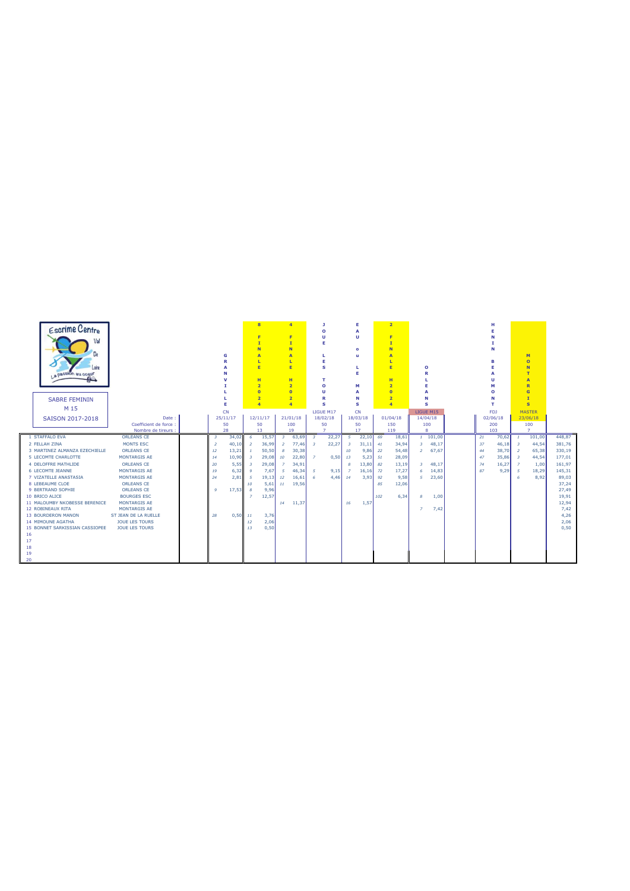|     | Escrime Centre<br>Val<br>La passión au coeur<br>m |                                    |                         | G              | $\mathbf{I}$<br>ı        | $\overline{\mathbf{8}}$<br>F.<br>N<br>A<br>E<br>H<br>$\overline{2}$<br>$\overline{0}$ |                         | $\overline{a}$<br>F.<br>$\mathbf{I}$<br><b>N</b><br>A<br><b>L</b><br>E<br>H<br>$\overline{2}$<br>$\overline{0}$ |                          | л.<br>$\circ$<br>Ù<br>Е<br>L.<br>E<br>s<br>т<br>$\circ$<br>Ù |                         | Е<br>$\overline{A}$<br>$\mathbf{u}$<br>$\bullet$<br><b>u</b><br>Е<br>М<br>$\overline{A}$ |     | $\overline{2}$<br>F<br>$\mathbf{I}$<br>N<br>$\overline{A}$<br><b>L</b><br>E<br>H<br>$\overline{2}$<br>$\overline{0}$ |                | $\Omega$<br>R   |    | н<br>N<br>в<br>ш<br>$\Omega$ |                          | M<br>$\overline{O}$<br>N<br>Ŧ<br>A<br>$\overline{\mathbf{R}}$<br>$\overline{G}$ |                |
|-----|---------------------------------------------------|------------------------------------|-------------------------|----------------|--------------------------|---------------------------------------------------------------------------------------|-------------------------|-----------------------------------------------------------------------------------------------------------------|--------------------------|--------------------------------------------------------------|-------------------------|------------------------------------------------------------------------------------------|-----|----------------------------------------------------------------------------------------------------------------------|----------------|-----------------|----|------------------------------|--------------------------|---------------------------------------------------------------------------------|----------------|
|     | <b>SABRE FEMININ</b>                              |                                    |                         |                |                          | $\overline{2}$                                                                        |                         | $\overline{2}$                                                                                                  |                          | R                                                            |                         | N                                                                                        |     | $\overline{2}$                                                                                                       |                | N               |    | N                            |                          | $\mathbf{r}$                                                                    |                |
|     | M 15                                              |                                    |                         | Е              |                          | $\overline{4}$                                                                        |                         | $\overline{4}$                                                                                                  |                          | s                                                            |                         | s                                                                                        |     | $\overline{a}$                                                                                                       |                | s               |    | T.                           |                          | $\mathbf{s}$                                                                    |                |
|     |                                                   |                                    |                         | <b>CN</b>      |                          |                                                                                       |                         |                                                                                                                 |                          | LIGUE M17                                                    |                         | <b>CN</b>                                                                                |     |                                                                                                                      |                | LIGUE M15       |    | FDJ                          |                          | <b>MASTER</b>                                                                   |                |
|     | SAISON 2017-2018                                  | Date<br>Coefficient de force       |                         | 25/11/17<br>50 |                          | 12/11/17<br>50                                                                        |                         | 21/01/18<br>100                                                                                                 |                          | 18/02/18<br>50                                               |                         | 18/03/18<br>50                                                                           |     | 01/04/18<br>150                                                                                                      |                | 14/04/18<br>100 |    | 02/06/18<br>200              |                          | 23/06/18<br>100                                                                 |                |
|     |                                                   | Nombre de tireurs :                |                         | 28             |                          | 13                                                                                    |                         | 19                                                                                                              |                          | $\overline{7}$                                               |                         | 17                                                                                       |     | 119                                                                                                                  |                | 8               |    | 103                          |                          | $\overline{7}$                                                                  |                |
|     | 1 STAFFALO EVA                                    | <b>ORLEANS CE</b>                  | $\overline{\mathbf{3}}$ | 34,02          | - 6                      | 15,57                                                                                 | $\overline{\mathbf{3}}$ | 63,69                                                                                                           | $\overline{\phantom{a}}$ | 22,27                                                        | -5                      | 22,10                                                                                    | 69  | 18,61                                                                                                                |                | 1101,00         | 21 | $70,62$ 1                    |                          | 101,00                                                                          | 448,87         |
|     | 2 FELLAH ZINA                                     | MONTS ESC                          | $\overline{z}$          | 40,10          | $\overline{2}$           | 36,99                                                                                 | $\overline{2}$          | 77,46                                                                                                           | $\overline{\mathbf{3}}$  | 22,27                                                        | $\overline{\mathbf{3}}$ | 31,11                                                                                    | 41  | 34,94                                                                                                                | 3              | 48,17           | 37 | 46,18                        | $\overline{\phantom{a}}$ | 44,54                                                                           | 381,76         |
|     | 3 MARTINEZ ALMANZA EZECHIELLE                     | <b>ORLEANS CE</b>                  | 12                      | 13,21          | $\mathbf{r}$             | 50,50                                                                                 | 8                       | 30,38                                                                                                           |                          |                                                              | 10                      | 9,86                                                                                     | 22  | 54.48                                                                                                                | $\overline{2}$ | 67.67           | 44 | 38,70                        | $\overline{2}$           | 65,38                                                                           | 330,19         |
|     | 5 LECOMTE CHARLOTTE                               | MONTARGIS AE                       | 14                      | 10,90          | $\overline{\phantom{a}}$ | 29,08                                                                                 | 10                      | 22,80                                                                                                           | $\overline{z}$           | 0,50                                                         | 13                      | 5,23                                                                                     | 51  | 28.09                                                                                                                |                |                 | 47 | 35,86                        | $\overline{\phantom{a}}$ | 44,54                                                                           | 177,01         |
|     | 4 DELOFFRE MATHLIDE                               | ORLEANS CE                         | 20                      | 5,55           | $\overline{3}$           | 29.08                                                                                 | $\overline{7}$          | 34.91                                                                                                           |                          |                                                              | 8                       | 13,80                                                                                    | 82  | 13.19                                                                                                                | $\overline{3}$ | 48.17           | 74 | 16.27                        | $\overline{7}$           | 1,00                                                                            | 161.97         |
|     | 6 LECOMTE JEANNE                                  | MONTARGIS AF                       | 19                      | 6,32           | $\mathbf{Q}$             | 7,67                                                                                  | -5                      | 46,34                                                                                                           | -5                       | 9,15                                                         | $\overline{z}$          | 16,16                                                                                    | 72  | 17.27                                                                                                                | 6              | 14,83           | 87 | 9,29                         | -5                       | 18,29                                                                           | 145,31         |
|     | 7 VIZATELLE ANASTASIA                             | MONTARGIS AE                       | 24                      | 2,81           | -5                       | 19,13                                                                                 | 12 <sup>°</sup>         | 16,61                                                                                                           | 6                        | 4.46                                                         | 14                      | 3.93                                                                                     | 92  | 9.58                                                                                                                 | -5             | 23,60           |    |                              | 6                        | 8,92                                                                            | 89,03          |
|     | 8 LEBEAUME CLOE                                   | ORLEANS CE                         |                         |                | 10                       | 5,61                                                                                  | 11                      | 19.56                                                                                                           |                          |                                                              |                         |                                                                                          | 85  | 12,06                                                                                                                |                |                 |    |                              |                          |                                                                                 | 37,24          |
|     | 9 BERTRAND SOPHIE                                 | <b>ORLEANS CE</b>                  | $\circ$                 | 17,53          | 8                        | 9,96                                                                                  |                         |                                                                                                                 |                          |                                                              |                         |                                                                                          |     |                                                                                                                      |                |                 |    |                              |                          |                                                                                 | 27.49          |
|     | 10 BRICO ALICE<br>11 MALOUMBY NKOBESSE BERENICE   | <b>BOURGES ESC</b><br>MONTARGIS AE |                         |                | $\overline{z}$           | 12.57                                                                                 | 14                      | 11,37                                                                                                           |                          |                                                              |                         | 1,57                                                                                     | 102 | 6.34                                                                                                                 | -8             | 1.00            |    |                              |                          |                                                                                 | 19.91<br>12,94 |
|     | 12 ROBINEAUX RITA                                 | MONTARGIS AE                       |                         |                |                          |                                                                                       |                         |                                                                                                                 |                          |                                                              | 16                      |                                                                                          |     |                                                                                                                      | $\overline{z}$ | 7.42            |    |                              |                          |                                                                                 | 7.42           |
|     | <b>13 BOURDERON MANON</b>                         | ST JEAN DE LA RUELLE               | 28                      | $0,50$ 11      |                          | 3,76                                                                                  |                         |                                                                                                                 |                          |                                                              |                         |                                                                                          |     |                                                                                                                      |                |                 |    |                              |                          |                                                                                 | 4,26           |
|     | <b>14 MIMOUNE AGATHA</b>                          | <b>JOUE LES TOURS</b>              |                         |                | 12                       | 2,06                                                                                  |                         |                                                                                                                 |                          |                                                              |                         |                                                                                          |     |                                                                                                                      |                |                 |    |                              |                          |                                                                                 | 2,06           |
|     | 15 BONNET SARKISSIAN CASSIOPEE                    | <b>JOUE LES TOURS</b>              |                         |                | 13                       | 0,50                                                                                  |                         |                                                                                                                 |                          |                                                              |                         |                                                                                          |     |                                                                                                                      |                |                 |    |                              |                          |                                                                                 | 0.50           |
| 16  |                                                   |                                    |                         |                |                          |                                                                                       |                         |                                                                                                                 |                          |                                                              |                         |                                                                                          |     |                                                                                                                      |                |                 |    |                              |                          |                                                                                 |                |
| 17  |                                                   |                                    |                         |                |                          |                                                                                       |                         |                                                                                                                 |                          |                                                              |                         |                                                                                          |     |                                                                                                                      |                |                 |    |                              |                          |                                                                                 |                |
| 18  |                                                   |                                    |                         |                |                          |                                                                                       |                         |                                                                                                                 |                          |                                                              |                         |                                                                                          |     |                                                                                                                      |                |                 |    |                              |                          |                                                                                 |                |
| 19  |                                                   |                                    |                         |                |                          |                                                                                       |                         |                                                                                                                 |                          |                                                              |                         |                                                                                          |     |                                                                                                                      |                |                 |    |                              |                          |                                                                                 |                |
| -20 |                                                   |                                    |                         |                |                          |                                                                                       |                         |                                                                                                                 |                          |                                                              |                         |                                                                                          |     |                                                                                                                      |                |                 |    |                              |                          |                                                                                 |                |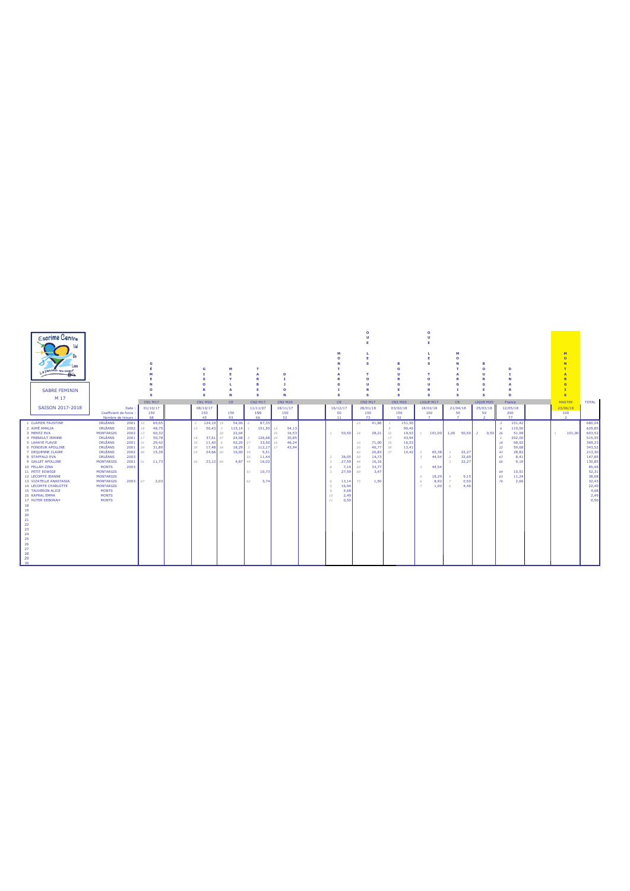| <b>Escrime Centre</b><br>La passión au coque<br><b>SABRE FEMININ</b> |                                               |              | s        |                |          | G<br>$\sqrt{2}$<br>s |               | M<br>N            |                     | $\mathbf{r}$<br>$\Delta$<br>R<br><b>B</b><br>E<br>$\mathbf{s}$ |    | n<br>-11<br>$\Omega$<br>N |                | м<br>$\sqrt{2}$<br>s |          | Е<br>s<br>$\Omega$<br>m<br>s |          | в<br>$\Omega$<br>п<br>ø<br>c<br>s | s<br>$\Omega$<br><b>U</b><br>$\mathbf R$<br>s |                |                | м<br>$\circ$<br>N<br>G<br>s | $\circ$<br>u<br>G<br>E<br>s |      | D<br>D                     | M<br>$\circ$<br>N<br>$\overline{R}$<br>$\overline{a}$<br>$\mathbf{I}$<br>$\mathbf{s}$ |        |                  |
|----------------------------------------------------------------------|-----------------------------------------------|--------------|----------|----------------|----------|----------------------|---------------|-------------------|---------------------|----------------------------------------------------------------|----|---------------------------|----------------|----------------------|----------|------------------------------|----------|-----------------------------------|-----------------------------------------------|----------------|----------------|-----------------------------|-----------------------------|------|----------------------------|---------------------------------------------------------------------------------------|--------|------------------|
| M 17                                                                 |                                               |              | CN1 M17  |                |          | <b>CN1 M20</b>       |               | CE.               |                     | <b>CN2 M17</b>                                                 |    | <b>CN2 M20</b>            |                | <b>CR</b>            |          | CN3 M17                      |          | <b>CN3 M20</b>                    | LIGUE M17                                     |                |                | CR                          | LIGUE M20                   |      | France                     | <b>MASTER</b>                                                                         |        | <b>TOTAL</b>     |
| SAISON 2017-2018                                                     |                                               | Date:        | 01/10/17 |                |          | 08/10/17             |               |                   |                     | 11/11/07                                                       |    | 18/11/17                  |                | 16/12/17             |          | 28/01/18                     |          | 03/02/18                          |                                               | 18/02/18       |                | 21/04/18                    | 25/03/18                    |      | 12/05/18                   | 23/06/18                                                                              |        |                  |
|                                                                      | Coefficient de force :<br>Nombre de tireurs : |              |          | 150<br>68      |          | 150<br>45            |               | 150<br>93         |                     | 150<br>66                                                      |    | 150<br>52                 |                | 50<br>11             |          | 150<br>73                    |          | 150<br>52                         | 100                                           | $\overline{7}$ |                | 50<br>$\overline{7}$        | 50<br>$\overline{ }$        |      | 200<br>77                  | 100<br>$\overline{2}$                                                                 |        |                  |
| 1 CLAPIER FAUSTINE                                                   | <b>ORLÉANS</b>                                | $2001$ 10    |          | 69,65          |          | 2 124,19 19          |               | 54,06             |                     | 87,35                                                          |    |                           |                |                      | 23       | 41,88                        |          | 151,50                            |                                               |                |                |                             |                             |      | 151.42                     |                                                                                       |        | 680.04           |
| 2 AIMÉ AMALIA                                                        | ORLÉANS                                       | 2002         | $18\,$   | 48,75          | 13       | 50,43                | $\mathcal{R}$ | 115,14            |                     | 151,50                                                         | 13 | 54,13                     |                |                      |          |                              |          | 90,40                             |                                               |                |                |                             |                             |      | 119,50                     |                                                                                       |        | 629,85           |
| 3 MENTZ EVA                                                          | <b>MONTARGIS</b>                              | 2002         | 13       | 60,32          |          |                      | 50            | 22,04             |                     |                                                                | 35 | 16,53                     | $\mathcal{I}$  | 50,50                | 34       | 28,21                        | 32       | 19,93                             |                                               | 101,00         |                | $1,00$ 50,50 2              |                             | 0,50 | 26<br>51,99                | 1                                                                                     | 101,00 | 603,52           |
| 4 FREBAULT JEANNE                                                    | <b>ORLÉANS</b>                                | 2001         | 17       | 50.78          | 18       | 37.61                | 47            | 24.08             |                     | 126.68                                                         | 24 | 30.85                     |                |                      |          |                              | 17       | 43.94                             |                                               |                |                |                             |                             |      | 202.00                     |                                                                                       |        | 515.95           |
| 5 LAHAYE FLAVIE                                                      | <b>ORLÉANS</b>                                | 2001         | 31       | 29,42          | 35       | 11,40                | 6             | 92,20             | 27<br>$\mathcal{R}$ | 33,50                                                          | 16 | 46.24                     |                |                      | 10       | 71,00                        | 35       | 16,53                             |                                               |                |                |                             |                             |      | 68.92<br>18                |                                                                                       |        | 369,23<br>343,52 |
| 6 FONDEUR APOLLINE<br>7 DEQUENNE CLAIRE                              | ORLÉANS<br><b>ORLÉANS</b>                     | 2001<br>2002 | 29<br>46 | 31,80<br>15,39 | 30<br>25 | 17,48<br>24,66       | 56<br>60      | 18,29<br>16,00 59 |                     | 112,17<br>5,51                                                 | 17 | 43,94                     |                |                      | 20<br>42 | 46,77<br>20,83               | 38<br>37 | 13,41<br>14,42                    |                                               | 65,38          | - 3            | 22,27                       |                             |      | 22<br>59,68<br>43<br>28,82 |                                                                                       |        | 213,30           |
| 8 STAFFALO EVA                                                       | <b>ORLÉANS</b>                                | 2003         |          |                |          |                      |               |                   | 50                  | 11,44                                                          |    |                           | $\overline{2}$ | 36,05                | - 50     | 14,73                        |          |                                   | $\mathcal{R}$                                 | 44,54          | $\overline{2}$ | 32,69                       |                             |      | 67<br>8,41                 |                                                                                       |        | 147,85           |
| 9 GALLET APOLLINE                                                    | <b>MONTARGIS</b>                              | 2001         |          | 51 11,73       |          | 26 23,12 84          |               | 4,87 44           |                     | 16,02                                                          |    |                           | $\mathcal{R}$  | 27,59                | 48       | 16,16                        |          |                                   |                                               |                |                | 22,27                       |                             |      | 66<br>9,10                 |                                                                                       |        | 130,85           |
| 10 FELLAH ZINA                                                       | <b>MONTS</b>                                  | 2003         |          |                |          |                      |               |                   |                     |                                                                |    |                           | 8              | 7,14                 | 29       | 33,77                        |          |                                   | $\mathcal{R}$                                 | 44,54          |                |                             |                             |      |                            |                                                                                       |        | 85,46            |
| 11 PETIT EDWIGE                                                      | <b>MONTARGIS</b>                              |              |          |                |          |                      |               |                   | 51                  | 10,73                                                          |    |                           | $\mathcal{R}$  | 27,59                | 69       | 3,47                         |          |                                   |                                               |                |                |                             |                             |      | 64<br>10,51                |                                                                                       |        | 52,31            |
| 12 LECOMTE JEANNE                                                    | <b>MONTARGIS</b>                              |              |          |                |          |                      |               |                   |                     |                                                                |    |                           |                |                      |          |                              |          |                                   | $\leq$                                        | 18,29          | - 5            | 9,15                        |                             |      | 11,24<br>63                |                                                                                       |        | 38,68            |
| 13 VIZATELLE ANASTASIA                                               | <b>MONTARGIS</b>                              | $2003$ 67    |          | 2,03           |          |                      |               |                   | 62                  | 3,74                                                           |    |                           | 6              | 13,14                | 73       | 1,50                         |          |                                   | $\kappa$                                      | 8,92           | $\overline{z}$ | 0,50                        |                             |      | 76<br>2,60                 |                                                                                       |        | 32,43            |
| 14 LECOMTE CHARLOTTE                                                 | <b>MONTARGIS</b>                              |              |          |                |          |                      |               |                   |                     |                                                                |    |                           | $\leq$         | 16,94                |          |                              |          |                                   | $\overline{z}$                                | 1,00           | -6             | 4.46                        |                             |      |                            |                                                                                       |        | 22,40            |
| <b>15 TAUVERON ALICE</b>                                             | <b>MONTS</b>                                  |              |          |                |          |                      |               |                   |                     |                                                                |    |                           | $\circ$        | 4,68                 |          |                              |          |                                   |                                               |                |                |                             |                             |      |                            |                                                                                       |        | 4,68             |
| 16 KAPRAL EMMA                                                       | <b>MONTS</b>                                  |              |          |                |          |                      |               |                   |                     |                                                                |    |                           | 10             | 2.49                 |          |                              |          |                                   |                                               |                |                |                             |                             |      |                            |                                                                                       |        | 2,49             |
| 17 HUTER DEBORAH                                                     | <b>MONTS</b>                                  |              |          |                |          |                      |               |                   |                     |                                                                |    |                           | 11             | 0.50                 |          |                              |          |                                   |                                               |                |                |                             |                             |      |                            |                                                                                       |        | 0.50             |
| 18                                                                   |                                               |              |          |                |          |                      |               |                   |                     |                                                                |    |                           |                |                      |          |                              |          |                                   |                                               |                |                |                             |                             |      |                            |                                                                                       |        |                  |
| 19                                                                   |                                               |              |          |                |          |                      |               |                   |                     |                                                                |    |                           |                |                      |          |                              |          |                                   |                                               |                |                |                             |                             |      |                            |                                                                                       |        |                  |
| 20                                                                   |                                               |              |          |                |          |                      |               |                   |                     |                                                                |    |                           |                |                      |          |                              |          |                                   |                                               |                |                |                             |                             |      |                            |                                                                                       |        |                  |
| 21                                                                   |                                               |              |          |                |          |                      |               |                   |                     |                                                                |    |                           |                |                      |          |                              |          |                                   |                                               |                |                |                             |                             |      |                            |                                                                                       |        |                  |
| 22                                                                   |                                               |              |          |                |          |                      |               |                   |                     |                                                                |    |                           |                |                      |          |                              |          |                                   |                                               |                |                |                             |                             |      |                            |                                                                                       |        |                  |
| 23<br>24                                                             |                                               |              |          |                |          |                      |               |                   |                     |                                                                |    |                           |                |                      |          |                              |          |                                   |                                               |                |                |                             |                             |      |                            |                                                                                       |        |                  |
| 25                                                                   |                                               |              |          |                |          |                      |               |                   |                     |                                                                |    |                           |                |                      |          |                              |          |                                   |                                               |                |                |                             |                             |      |                            |                                                                                       |        |                  |
| 26                                                                   |                                               |              |          |                |          |                      |               |                   |                     |                                                                |    |                           |                |                      |          |                              |          |                                   |                                               |                |                |                             |                             |      |                            |                                                                                       |        |                  |
| 27                                                                   |                                               |              |          |                |          |                      |               |                   |                     |                                                                |    |                           |                |                      |          |                              |          |                                   |                                               |                |                |                             |                             |      |                            |                                                                                       |        |                  |
| 28                                                                   |                                               |              |          |                |          |                      |               |                   |                     |                                                                |    |                           |                |                      |          |                              |          |                                   |                                               |                |                |                             |                             |      |                            |                                                                                       |        |                  |
| 29                                                                   |                                               |              |          |                |          |                      |               |                   |                     |                                                                |    |                           |                |                      |          |                              |          |                                   |                                               |                |                |                             |                             |      |                            |                                                                                       |        |                  |
| 30                                                                   |                                               |              |          |                |          |                      |               |                   |                     |                                                                |    |                           |                |                      |          |                              |          |                                   |                                               |                |                |                             |                             |      |                            |                                                                                       |        |                  |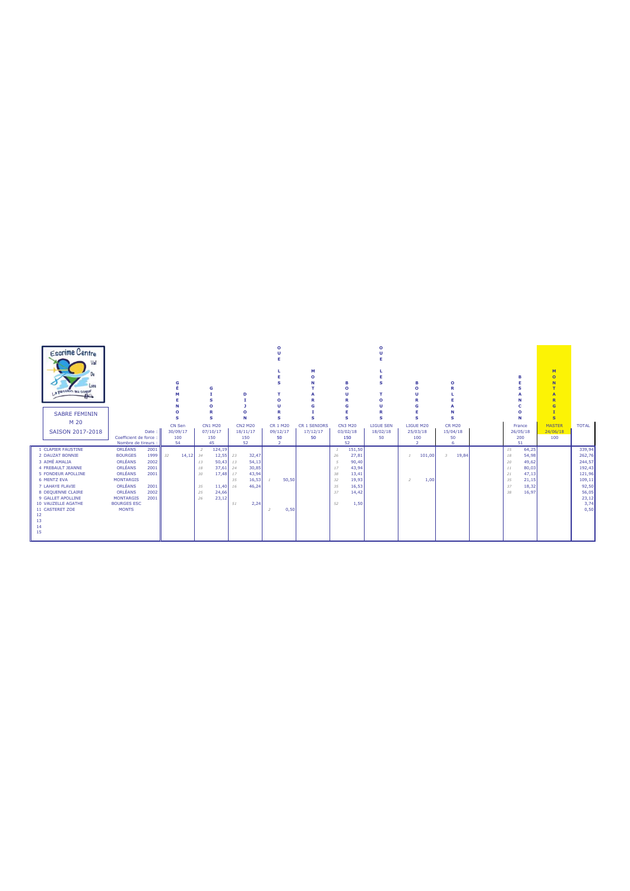| <b>Escrime Centre</b><br>Val<br>Loire<br>a passion au cogur<br><b>SABRE FEMININ</b> |                        |       |                 |          |                | G<br>n          |    | D<br>$\Omega$   |                | м<br>ິ              |    | в<br>$\Omega$<br>п<br>R<br>G | C<br>R           | в<br>n          |        | $\Omega$       |    |                 | M<br>$\circ$<br>G |              |
|-------------------------------------------------------------------------------------|------------------------|-------|-----------------|----------|----------------|-----------------|----|-----------------|----------------|---------------------|----|------------------------------|------------------|-----------------|--------|----------------|----|-----------------|-------------------|--------------|
| M 20                                                                                |                        |       |                 |          |                | s               |    |                 |                |                     |    |                              |                  |                 |        |                |    |                 | $\mathbf{s}$      |              |
|                                                                                     |                        |       | CN Sen          |          |                | <b>CN1 M20</b>  |    | <b>CN2 M20</b>  | CR 1 M20       | <b>CR 1 SENIORS</b> |    | <b>CN3 M20</b>               | <b>LIGUE SEN</b> | LIGUE M20       |        | <b>CR M20</b>  |    | France          | <b>MASTER</b>     | <b>TOTAL</b> |
| SAISON 2017-2018                                                                    | Coefficient de force : | Date: | 30/09/17<br>100 |          |                | 07/10/17<br>150 |    | 18/11/17<br>150 | 09/12/17<br>50 | 17/12/17<br>50      |    | 03/02/18<br>150              | 18/02/18<br>50   | 25/03/18<br>100 |        | 15/04/18<br>50 |    | 26/05/18<br>200 | 24/06/18<br>100   |              |
|                                                                                     | Nombre de tireurs :    |       | 54              |          |                | 45              |    | 52              | $\overline{2}$ |                     |    | 52                           |                  | $\mathcal{P}$   |        | 6              |    | 51              |                   |              |
| 1 CLAPIER FAUSTINE                                                                  | ORLÉANS                | 2001  |                 |          | $\overline{2}$ | 124,19          |    |                 |                |                     |    | 151,50                       |                  |                 |        |                | 15 | 64,25           |                   | 339,94       |
| 2 DAUZAT BONNIE                                                                     | <b>BOURGES</b>         | 1999  | 32              | 14.12 34 |                | 12,55           | 23 | 32,47           |                |                     | 26 | 27,81                        |                  |                 | 101,00 | 19.84<br>3     | 18 | 54,98           |                   | 262,76       |
| 3 AIMÉ AMALIA                                                                       | ORLÉANS                | 2002  |                 |          | 13             | 50,43           | 13 | 54,13           |                |                     | 5  | 90,40                        |                  |                 |        |                | 20 | 49,62           |                   | 244,57       |
| <b>4 FREBAULT JEANNE</b>                                                            | ORLÉANS                | 2001  |                 |          | 18             | 37,61           | 24 | 30,85           |                |                     | 17 | 43,94                        |                  |                 |        |                | 11 | 80,03           |                   | 192,43       |
| 5 FONDEUR APOLLINE                                                                  | ORLÉANS                | 2001  |                 |          | 30             | 17.48           | 17 | 43,94           |                |                     | 38 | 13,41                        |                  |                 |        |                | 21 | 47,13           |                   | 121,96       |
| 6 MENTZ EVA                                                                         | <b>MONTARGIS</b>       |       |                 |          |                |                 | 35 | 16,53           | 50,50          |                     | 32 | 19,93                        |                  | $\overline{z}$  | 1,00   |                | 35 | 21,15           |                   | 109,11       |
| 7 LAHAYE FLAVIE                                                                     | ORLÉANS                | 2001  |                 |          | 35             | 11,40           | 16 | 46,24           |                |                     | 35 | 16,53                        |                  |                 |        |                | 37 | 18,32           |                   | 92,50        |
| 8 DEQUENNE CLAIRE                                                                   | ORLÉANS                | 2002  |                 |          | 25             | 24,66           |    |                 |                |                     | 37 | 14,42                        |                  |                 |        |                | 38 | 16,97           |                   | 56,05        |
| 9 GALLET APOLLINE                                                                   | <b>MONTARGIS</b>       | 2001  |                 |          | 26             | 23.12           |    |                 |                |                     |    |                              |                  |                 |        |                |    |                 |                   | 23,12        |
| 10 VAUZELLE AGATHE                                                                  | <b>BOURGES ESC</b>     |       |                 |          |                |                 | 51 | 2,24            |                |                     | 52 | 1,50                         |                  |                 |        |                |    |                 |                   | 3,74         |
| 11 CASTERET ZOE                                                                     | <b>MONTS</b>           |       |                 |          |                |                 |    |                 | 0,50           |                     |    |                              |                  |                 |        |                |    |                 |                   | 0,50         |
| 12                                                                                  |                        |       |                 |          |                |                 |    |                 |                |                     |    |                              |                  |                 |        |                |    |                 |                   |              |
| 13                                                                                  |                        |       |                 |          |                |                 |    |                 |                |                     |    |                              |                  |                 |        |                |    |                 |                   |              |
|                                                                                     |                        |       |                 |          |                |                 |    |                 |                |                     |    |                              |                  |                 |        |                |    |                 |                   |              |
| 15                                                                                  |                        |       |                 |          |                |                 |    |                 |                |                     |    |                              |                  |                 |        |                |    |                 |                   |              |
|                                                                                     |                        |       |                 |          |                |                 |    |                 |                |                     |    |                              |                  |                 |        |                |    |                 |                   |              |